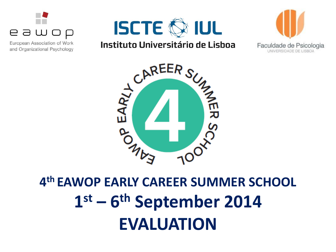

European Association of Work and Organizational Psychology







# **4 th EAWOP EARLY CAREER SUMMER SCHOOL 1 st – 6 th September 2014 EVALUATION**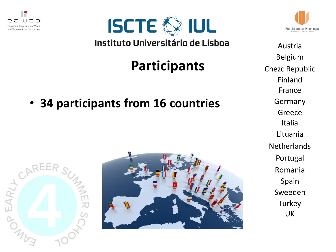



# **Participants**

• **34 participants from 16 countries**







Austria Belgium Chezc Republic Finland France Germany Greece Italia Lituania **Netherlands** Portugal Romania Spain Sweeden **Turkey** UK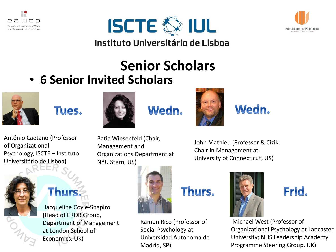





# **Senior Scholars**

• **6 Senior Invited Scholars**



of Organizational

António Caetano (Professor

Psychology, ISCTE – Instituto

Universitário de Lisboa)





## Wedn.



John Mathieu (Professor & Cizik Chair in Management at University of Connecticut, US)

# **Thurs:**

Jacqueline Coyle-Shapiro (Head of EROB Group, Department of Management at London School of Economics, UK)



Organizations Department at

## Thurs.

Rámon Rico (Professor of Social Psychology at Universidad Autonoma de Madrid, SP)



Wedn.



Michael West (Professor of Organizational Psychology at Lancaster University; NHS Leadership Academy Programme Steering Group, UK)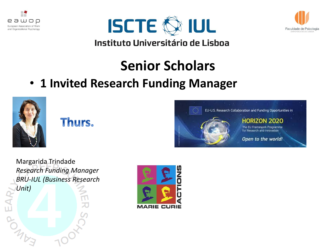





## **Senior Scholars**

• **1 Invited Research Funding Manager**



### Thurs.



Margarida Trindade *Research Funding Manager BRU-IUL (Business Research*   $rac{B_{h}}{L}$ *Unit*) **BANKS** 

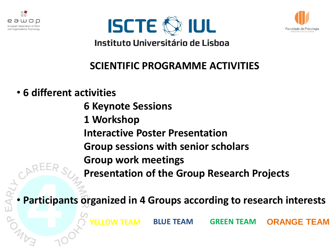





## **SCIENTIFIC PROGRAMME ACTIVITIES**

### • **6 different activities**

**6 Keynote Sessions 1 Workshop Interactive Poster Presentation Group sessions with senior scholars Group work meetings Presentation of the Group Research Projects**

### • **Participants organized in 4 Groups according to research interests**

**YELLOW TEAM BLUE TEAM GREEN TEAM ORANGE TEAM**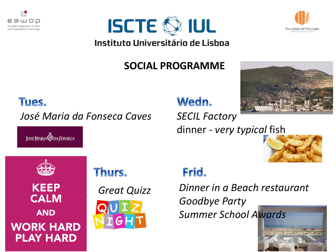





## **SOCIAL PROGRAMME**



#### Tues.

*José Maria da Fonseca Caves SECIL Factory*

**JOSE MARIA DA FONSECA** 

## Wedn.

dinner - *very typical* fish





**KEEP CALM AND WORK HARD PLAY HARD** 

## Thurs.



## Frid.

*Great Quizz Dinner in a Beach restaurant Goodbye Party Summer School Awards*

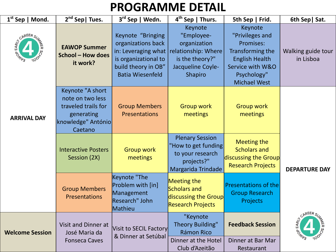## **PROGRAMME DETAIL**

| $1st$ Sep   Mond.      | $2nd$ Sep   Tues.                                                                                          | 3rd Sep   Wedn.                                                                                                                          | $4th$ Sep   Thurs.                                                                                                     | 5th Sep   Frid.                                                                                                                                | 6th Sep   Sat.                              |
|------------------------|------------------------------------------------------------------------------------------------------------|------------------------------------------------------------------------------------------------------------------------------------------|------------------------------------------------------------------------------------------------------------------------|------------------------------------------------------------------------------------------------------------------------------------------------|---------------------------------------------|
| CAREER SUN             | <b>EAWOP Summer</b><br>School - How does<br>it work?                                                       | Keynote "Bringing<br>organizations back<br>in: Leveraging what<br>is organizational to<br>build theory in OB"<br><b>Batia Wiesenfeld</b> | Keynote<br>"Employee-<br>organization<br>relationship: Where<br>is the theory?"<br>Jacqueline Coyle-<br><b>Shapiro</b> | Keynote<br>"Privileges and<br>Promises:<br>Transforming the<br><b>English Health</b><br>Service with W&O<br>Psychology"<br><b>Michael West</b> | Walking guide tour<br>in Lisboa             |
| <b>ARRIVAL DAY</b>     | Keynote "A short<br>note on two less<br>traveled trails for<br>generating<br>knowledge" António<br>Caetano | <b>Group Members</b><br><b>Presentations</b>                                                                                             | <b>Group work</b><br>meetings                                                                                          | <b>Group work</b><br>meetings                                                                                                                  |                                             |
|                        | <b>Interactive Posters</b><br>Session (2X)                                                                 | <b>Group work</b><br>meetings                                                                                                            | <b>Plenary Session</b><br>"How to get funding<br>to your research<br>projects?"<br>Margarida Trindade                  | <b>Meeting the</b><br><b>Scholars and</b><br>discussing the Group<br><b>Research Projects</b>                                                  | <b>DEPARTURE DAY</b>                        |
|                        | <b>Group Members</b><br><b>Presentations</b>                                                               | Keynote "The<br>Problem with [in]<br>Management<br>Research" John<br>Mathieu                                                             | <b>Meeting the</b><br>Scholars and<br>discussing the Group<br><b>Research Projects</b>                                 | Presentations of the<br><b>Group Research</b><br>Projects                                                                                      |                                             |
| <b>Welcome Session</b> | <b>Visit and Dinner at</b><br>José Maria da<br><b>Fonseca Caves</b>                                        | Visit to SECIL Factory<br>& Dinner at Setúbal                                                                                            | "Keynote<br><b>Theory Building"</b><br><b>Rámon Rico</b><br>Dinner at the Hotel<br>Club d'Azeitão                      | <b>Feedback Session</b><br>Dinner at Bar Mar<br>Restaurant                                                                                     | CAREER <sub>SI</sub><br>EARLY<br><b>100</b> |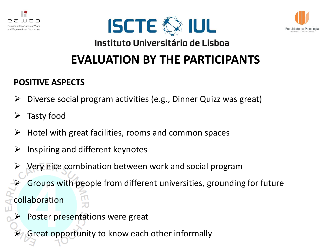





## **EVALUATION BY THE PARTICIPANTS**

#### **POSITIVE ASPECTS**

- $\triangleright$  Diverse social program activities (e.g., Dinner Quizz was great)
- $\triangleright$  Tasty food
- $\triangleright$  Hotel with great facilities, rooms and common spaces
- Inspiring and different keynotes
- Very nice combination between work and social program
	- Groups with people from different universities, grounding for future

collaboration

- Poster presentations were great
- Great opportunity to know each other informally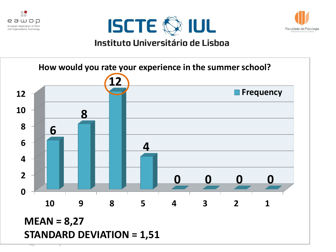







**STANDARD DEVIATION = 1,51 MEAN = 8,27**